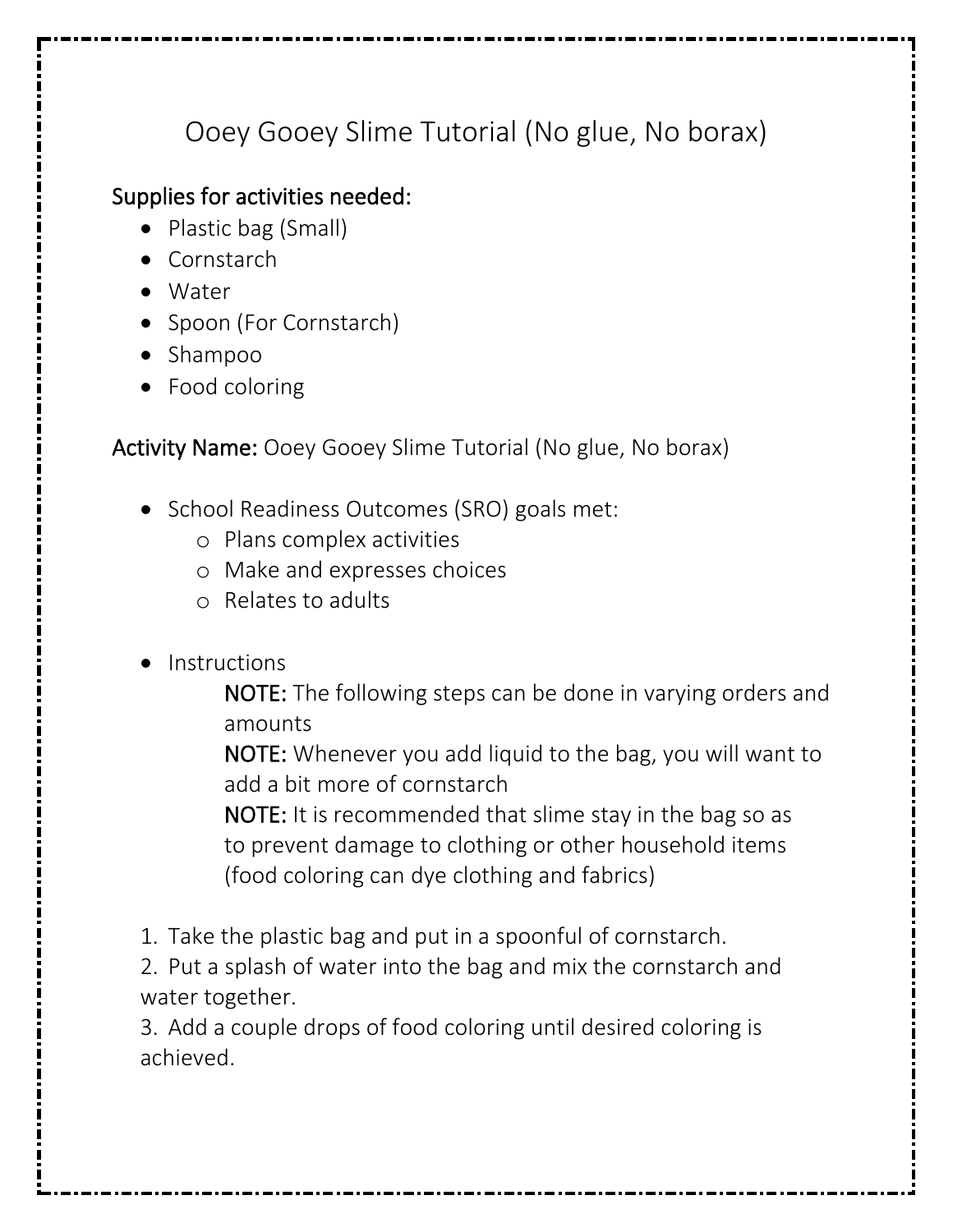## Ooey Gooey Slime Tutorial (No glue, No borax)

## Supplies for activities needed:

- Plastic bag (Small)
- Cornstarch
- Water
- Spoon (For Cornstarch)
- Shampoo
- Food coloring

Activity Name: Ooey Gooey Slime Tutorial (No glue, No borax)

- School Readiness Outcomes (SRO) goals met:
	- o Plans complex activities
	- o Make and expresses choices
	- o Relates to adults
- Instructions

NOTE: The following steps can be done in varying orders and amounts

NOTE: Whenever you add liquid to the bag, you will want to add a bit more of cornstarch

NOTE: It is recommended that slime stay in the bag so as to prevent damage to clothing or other household items (food coloring can dye clothing and fabrics)

1. Take the plastic bag and put in a spoonful of cornstarch.

2. Put a splash of water into the bag and mix the cornstarch and water together.

3. Add a couple drops of food coloring until desired coloring is achieved.